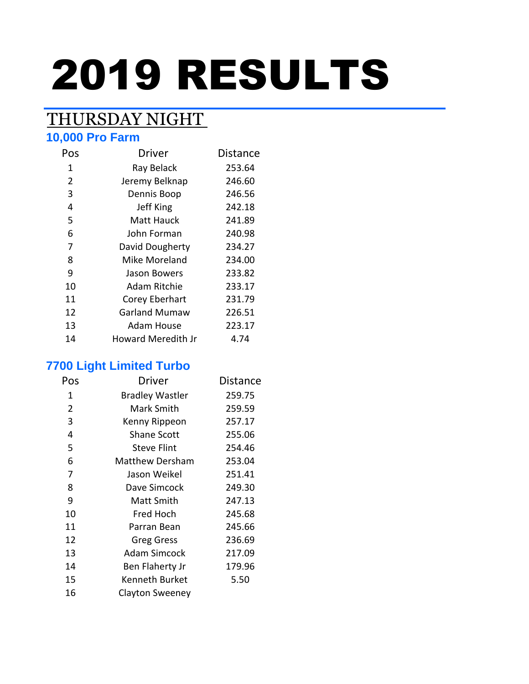# 2019 RESULTS

## THURSDAY NIGHT

#### **10,000 Pro Farm**

| Pos | <b>Driver</b>        | <b>Distance</b> |
|-----|----------------------|-----------------|
| 1   | Ray Belack           | 253.64          |
| 2   | Jeremy Belknap       | 246.60          |
| 3   | Dennis Boop          | 246.56          |
| 4   | Jeff King            | 242.18          |
| 5   | Matt Hauck           | 241.89          |
| 6   | John Forman          | 240.98          |
| 7   | David Dougherty      | 234.27          |
| 8   | Mike Moreland        | 234.00          |
| 9   | Jason Bowers         | 233.82          |
| 10  | Adam Ritchie         | 233.17          |
| 11  | Corey Eberhart       | 231.79          |
| 12  | <b>Garland Mumaw</b> | 226.51          |
| 13  | Adam House           | 223.17          |
| 14  | Howard Meredith Jr   | 4.74            |

#### **7700 Light Limited Turbo**

| Pos            | Driver                 | Distance |
|----------------|------------------------|----------|
| 1              | <b>Bradley Wastler</b> | 259.75   |
| $\overline{2}$ | Mark Smith             | 259.59   |
| 3              | Kenny Rippeon          | 257.17   |
| 4              | <b>Shane Scott</b>     | 255.06   |
| 5              | <b>Steve Flint</b>     | 254.46   |
| 6              | <b>Matthew Dersham</b> | 253.04   |
| 7              | Jason Weikel           | 251.41   |
| 8              | Dave Simcock           | 249.30   |
| 9              | Matt Smith             | 247.13   |
| 10             | Fred Hoch              | 245.68   |
| 11             | Parran Bean            | 245.66   |
| 12             | <b>Greg Gress</b>      | 236.69   |
| 13             | <b>Adam Simcock</b>    | 217.09   |
| 14             | Ben Flaherty Jr        | 179.96   |
| 15             | Kenneth Burket         | 5.50     |
| 16             | Clayton Sweeney        |          |
|                |                        |          |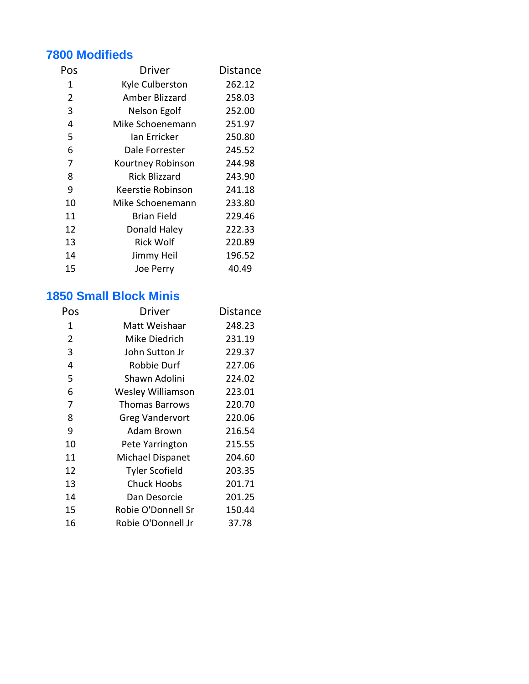#### **7800 Modifieds**

| Pos | Driver               | Distance |
|-----|----------------------|----------|
| 1   | Kyle Culberston      | 262.12   |
| 2   | Amber Blizzard       | 258.03   |
| 3   | Nelson Egolf         | 252.00   |
| 4   | Mike Schoenemann     | 251.97   |
| 5   | Ian Erricker         | 250.80   |
| 6   | Dale Forrester       | 245.52   |
| 7   | Kourtney Robinson    | 244.98   |
| 8   | <b>Rick Blizzard</b> | 243.90   |
| 9   | Keerstie Robinson    | 241.18   |
| 10  | Mike Schoenemann     | 233.80   |
| 11  | Brian Field          | 229.46   |
| 12  | Donald Haley         | 222.33   |
| 13  | <b>Rick Wolf</b>     | 220.89   |
| 14  | Jimmy Heil           | 196.52   |
| 15  | Joe Perry            | 40.49    |
|     |                      |          |

#### **1850 Small Block Minis**

| Pos            | Driver                 | Distance |
|----------------|------------------------|----------|
| 1              | Matt Weishaar          | 248.23   |
| $\overline{2}$ | Mike Diedrich          | 231.19   |
| 3              | John Sutton Jr         | 229.37   |
| 4              | Robbie Durf            | 227.06   |
| 5              | Shawn Adolini          | 224.02   |
| 6              | Wesley Williamson      | 223.01   |
| 7              | <b>Thomas Barrows</b>  | 220.70   |
| 8              | <b>Greg Vandervort</b> | 220.06   |
| 9              | Adam Brown             | 216.54   |
| 10             | Pete Yarrington        | 215.55   |
| 11             | Michael Dispanet       | 204.60   |
| 12             | <b>Tyler Scofield</b>  | 203.35   |
| 13             | <b>Chuck Hoobs</b>     | 201.71   |
| 14             | Dan Desorcie           | 201.25   |
| 15             | Robie O'Donnell Sr     | 150.44   |
| 16             | Robie O'Donnell Jr     | 37.78    |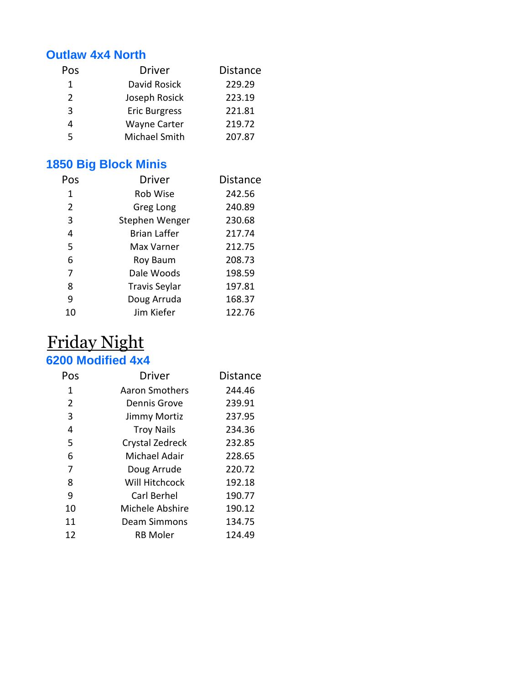#### **Outlaw 4x4 North**

| Pos           | <b>Driver</b>        | <b>Distance</b> |
|---------------|----------------------|-----------------|
| 1             | David Rosick         | 229.29          |
| $\mathcal{P}$ | Joseph Rosick        | 223.19          |
| 3             | <b>Eric Burgress</b> | 221.81          |
|               | <b>Wayne Carter</b>  | 219.72          |
| 5             | Michael Smith        | 207.87          |
|               |                      |                 |

## **1850 Big Block Minis**

| Pos | <b>Driver</b>        | <b>Distance</b> |
|-----|----------------------|-----------------|
| 1   | Rob Wise             | 242.56          |
| 2   | Greg Long            | 240.89          |
| 3   | Stephen Wenger       | 230.68          |
| 4   | Brian Laffer         | 217.74          |
| 5   | Max Varner           | 212.75          |
| 6   | Roy Baum             | 208.73          |
| 7   | Dale Woods           | 198.59          |
| 8   | <b>Travis Seylar</b> | 197.81          |
| ٩   | Doug Arruda          | 168.37          |
| 10  | Jim Kiefer           | 122.76          |

## Friday Night **6200 Modified 4x4**

| Pos | Driver              | <b>Distance</b> |
|-----|---------------------|-----------------|
| 1   | Aaron Smothers      | 244.46          |
| 2   | Dennis Grove        | 239.91          |
| 3   | Jimmy Mortiz        | 237.95          |
| 4   | <b>Troy Nails</b>   | 234.36          |
| 5   | Crystal Zedreck     | 232.85          |
| 6   | Michael Adair       | 228.65          |
| 7   | Doug Arrude         | 220.72          |
| 8   | Will Hitchcock      | 192.18          |
| 9   | Carl Berhel         | 190.77          |
| 10  | Michele Abshire     | 190.12          |
| 11  | <b>Deam Simmons</b> | 134.75          |
| 12  | <b>RB</b> Moler     | 124.49          |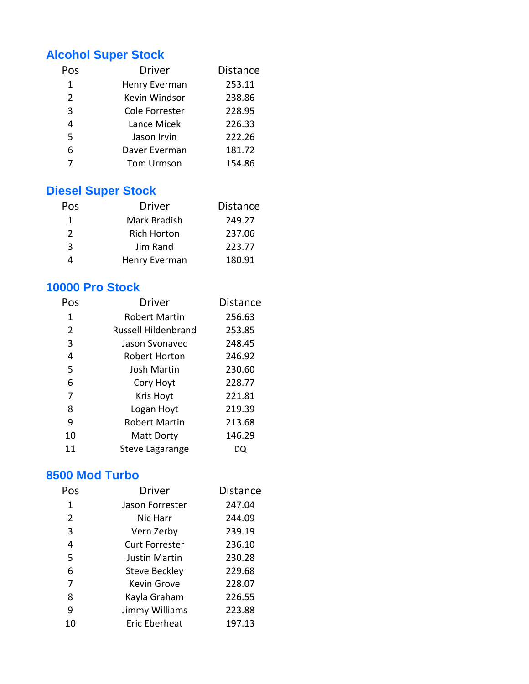#### **Alcohol Super Stock**

| Pos            | <b>Driver</b>     | <b>Distance</b> |
|----------------|-------------------|-----------------|
| 1              | Henry Everman     | 253.11          |
| $\overline{2}$ | Kevin Windsor     | 238.86          |
| 3              | Cole Forrester    | 228.95          |
| 4              | Lance Micek       | 226.33          |
| 5              | Jason Irvin       | 222.26          |
| 6              | Daver Everman     | 181.72          |
|                | <b>Tom Urmson</b> | 154.86          |

## **Diesel Super Stock**

| <b>Pos</b>    | <b>Driver</b>      | <b>Distance</b> |
|---------------|--------------------|-----------------|
| 1             | Mark Bradish       | 249.27          |
| $\mathcal{L}$ | <b>Rich Horton</b> | 237.06          |
| -3            | Jim Rand           | 223.77          |
|               | Henry Everman      | 180.91          |

#### **10000 Pro Stock**

| Pos | Driver               | <b>Distance</b> |
|-----|----------------------|-----------------|
| 1   | <b>Robert Martin</b> | 256.63          |
| 2   | Russell Hildenbrand  | 253.85          |
| 3   | Jason Syonavec       | 248.45          |
| 4   | Robert Horton        | 246.92          |
| 5   | Josh Martin          | 230.60          |
| 6   | Cory Hoyt            | 228.77          |
| 7   | <b>Kris Hoyt</b>     | 221.81          |
| 8   | Logan Hoyt           | 219.39          |
| 9   | <b>Robert Martin</b> | 213.68          |
| 10  | <b>Matt Dorty</b>    | 146.29          |
| 11  | Steve Lagarange      | DQ              |

#### **8500 Mod Turbo**

| Pos            | Driver               | <b>Distance</b> |
|----------------|----------------------|-----------------|
| 1              | Jason Forrester      | 247.04          |
| $\overline{2}$ | Nic Harr             | 244.09          |
| 3              | Vern Zerby           | 239.19          |
| 4              | Curt Forrester       | 236.10          |
| 5              | Justin Martin        | 230.28          |
| 6              | <b>Steve Beckley</b> | 229.68          |
| 7              | Kevin Grove          | 228.07          |
| 8              | Kayla Graham         | 226.55          |
| 9              | Jimmy Williams       | 223.88          |
| 10             | <b>Eric Eberheat</b> | 197.13          |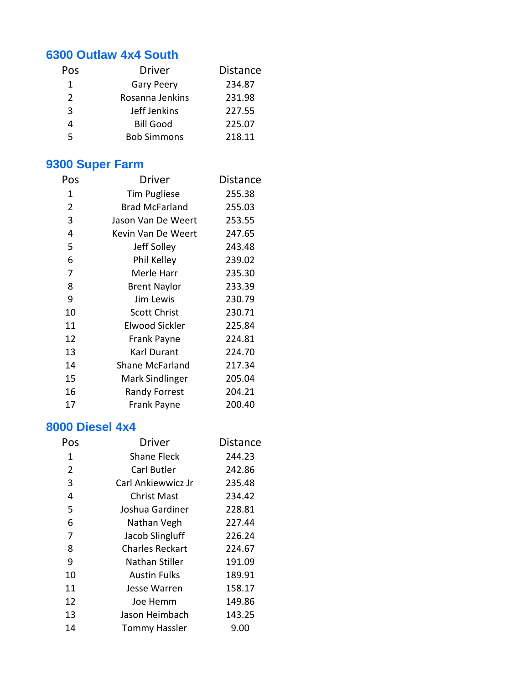#### **6300 Outlaw 4x4 South**

| Pos           | <b>Driver</b>      | <b>Distance</b> |
|---------------|--------------------|-----------------|
| 1             | <b>Gary Peery</b>  | 234.87          |
| $\mathcal{L}$ | Rosanna Jenkins    | 231.98          |
| 3             | Jeff Jenkins       | 227.55          |
| 4             | <b>Bill Good</b>   | 225.07          |
| 5             | <b>Bob Simmons</b> | 218.11          |
|               |                    |                 |

## **9300 Super Farm**

| Pos            | Driver                | Distance |
|----------------|-----------------------|----------|
| 1              | <b>Tim Pugliese</b>   | 255.38   |
| $\overline{2}$ | <b>Brad McFarland</b> | 255.03   |
| 3              | Jason Van De Weert    | 253.55   |
| 4              | Kevin Van De Weert    | 247.65   |
| 5              | Jeff Solley           | 243.48   |
| 6              | Phil Kelley           | 239.02   |
| 7              | Merle Harr            | 235.30   |
| 8              | <b>Brent Naylor</b>   | 233.39   |
| 9              | Jim Lewis             | 230.79   |
| 10             | <b>Scott Christ</b>   | 230.71   |
| 11             | <b>Elwood Sickler</b> | 225.84   |
| 12             | <b>Frank Payne</b>    | 224.81   |
| 13             | Karl Durant           | 224.70   |
| 14             | Shane McFarland       | 217.34   |
| 15             | Mark Sindlinger       | 205.04   |
| 16             | Randy Forrest         | 204.21   |
| 17             | Frank Payne           | 200.40   |

#### **8000 Diesel 4x4**

| Pos            | <b>Driver</b>          | <b>Distance</b> |
|----------------|------------------------|-----------------|
| 1              | Shane Fleck            | 244.23          |
| $\overline{2}$ | Carl Butler            | 242.86          |
| 3              | Carl Ankiewwicz Jr     | 235.48          |
| 4              | Christ Mast            | 234.42          |
| 5              | Joshua Gardiner        | 228.81          |
| 6              | Nathan Vegh            | 227.44          |
| 7              | Jacob Slingluff        | 226.24          |
| 8              | <b>Charles Reckart</b> | 224.67          |
| 9              | Nathan Stiller         | 191.09          |
| 10             | <b>Austin Fulks</b>    | 189.91          |
| 11             | Jesse Warren           | 158.17          |
| 12             | Joe Hemm               | 149.86          |
| 13             | Jason Heimbach         | 143.25          |
| 14             | <b>Tommy Hassler</b>   | 9.00            |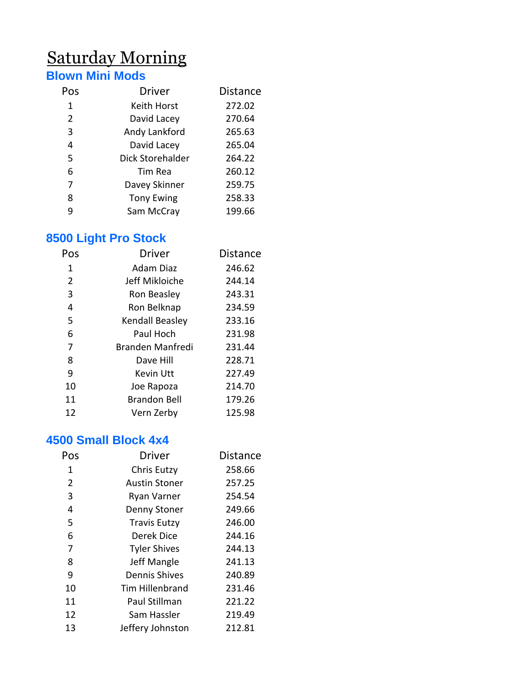## Saturday Morning

## **Blown Mini Mods**

| Pos            | <b>Driver</b>     | <b>Distance</b> |
|----------------|-------------------|-----------------|
| 1              | Keith Horst       | 272.02          |
| $\overline{2}$ | David Lacey       | 270.64          |
| 3              | Andy Lankford     | 265.63          |
| 4              | David Lacey       | 265.04          |
| 5              | Dick Storehalder  | 264.22          |
| 6              | Tim Rea           | 260.12          |
| 7              | Davey Skinner     | 259.75          |
| 8              | <b>Tony Ewing</b> | 258.33          |
| 9              | Sam McCray        | 199.66          |

## **8500 Light Pro Stock**

| Pos            | <b>Driver</b>       | <b>Distance</b> |
|----------------|---------------------|-----------------|
| 1              | Adam Diaz           | 246.62          |
| $\overline{2}$ | Jeff Mikloiche      | 244.14          |
| 3              | Ron Beasley         | 243.31          |
| 4              | Ron Belknap         | 234.59          |
| 5              | Kendall Beasley     | 233.16          |
| 6              | Paul Hoch           | 231.98          |
| 7              | Branden Manfredi    | 231.44          |
| 8              | Dave Hill           | 228.71          |
| 9              | Kevin Utt           | 227.49          |
| 10             | Joe Rapoza          | 214.70          |
| 11             | <b>Brandon Bell</b> | 179.26          |
| 12             | Vern Zerby          | 125.98          |

#### **4500 Small Block 4x4**

| Pos | <b>Driver</b>          | <b>Distance</b> |
|-----|------------------------|-----------------|
| 1   | Chris Eutzy            | 258.66          |
| 2   | <b>Austin Stoner</b>   | 257.25          |
| 3   | Ryan Varner            | 254.54          |
| 4   | Denny Stoner           | 249.66          |
| 5   | <b>Travis Eutzy</b>    | 246.00          |
| 6   | Derek Dice             | 244.16          |
| 7   | <b>Tyler Shives</b>    | 244.13          |
| 8   | Jeff Mangle            | 241.13          |
| 9   | <b>Dennis Shives</b>   | 240.89          |
| 10  | <b>Tim Hillenbrand</b> | 231.46          |
| 11  | Paul Stillman          | 221.22          |
| 12  | Sam Hassler            | 219.49          |
| 13  | Jeffery Johnston       | 212.81          |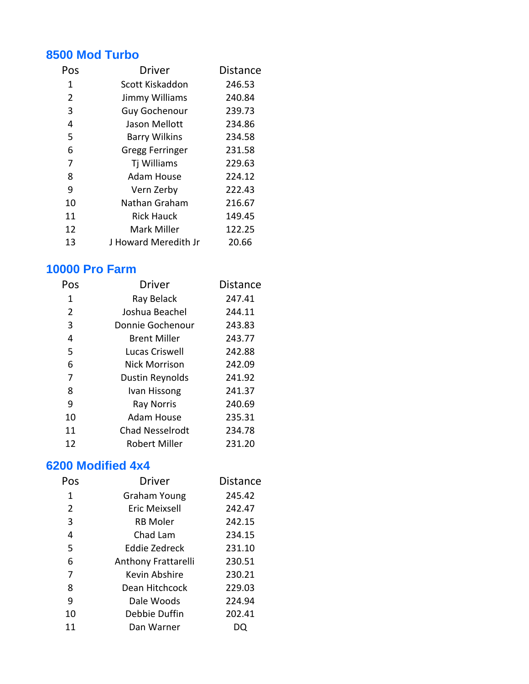#### **8500 Mod Turbo**

| Pos | <b>Driver</b>        | <b>Distance</b> |
|-----|----------------------|-----------------|
| 1   | Scott Kiskaddon      | 246.53          |
| 2   | Jimmy Williams       | 240.84          |
| 3   | <b>Guy Gochenour</b> | 239.73          |
| 4   | Jason Mellott        | 234.86          |
| 5   | <b>Barry Wilkins</b> | 234.58          |
| 6   | Gregg Ferringer      | 231.58          |
| 7   | Tj Williams          | 229.63          |
| 8   | <b>Adam House</b>    | 224.12          |
| 9   | Vern Zerby           | 222.43          |
| 10  | Nathan Graham        | 216.67          |
| 11  | <b>Rick Hauck</b>    | 149.45          |
| 12  | Mark Miller          | 122.25          |
| 13  | J Howard Meredith Jr | 20.66           |

#### **10000 Pro Farm**

| Pos | Driver                 | <b>Distance</b> |
|-----|------------------------|-----------------|
| 1   | Ray Belack             | 247.41          |
| 2   | Joshua Beachel         | 244.11          |
| 3   | Donnie Gochenour       | 243.83          |
| 4   | <b>Brent Miller</b>    | 243.77          |
| 5   | Lucas Criswell         | 242.88          |
| 6   | <b>Nick Morrison</b>   | 242.09          |
| 7   | Dustin Reynolds        | 241.92          |
| 8   | Ivan Hissong           | 241.37          |
| 9   | <b>Ray Norris</b>      | 240.69          |
| 10  | <b>Adam House</b>      | 235.31          |
| 11  | <b>Chad Nesselrodt</b> | 234.78          |
| 12  | Robert Miller          | 231.20          |

#### **6200 Modified 4x4**

| Pos | <b>Driver</b>        | <b>Distance</b> |
|-----|----------------------|-----------------|
| 1   | Graham Young         | 245.42          |
| 2   | <b>Eric Meixsell</b> | 242.47          |
| 3   | <b>RB Moler</b>      | 242.15          |
| 4   | Chad Lam             | 234.15          |
| 5   | Eddie Zedreck        | 231.10          |
| 6   | Anthony Frattarelli  | 230.51          |
| 7   | Kevin Abshire        | 230.21          |
| 8   | Dean Hitchcock       | 229.03          |
| 9   | Dale Woods           | 224.94          |
| 10  | Debbie Duffin        | 202.41          |
| 11  | Dan Warner           |                 |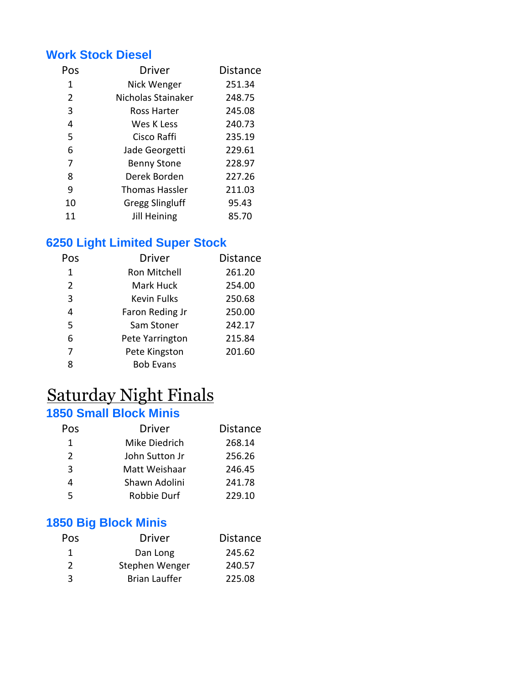#### **Work Stock Diesel**

| Pos | <b>Driver</b>          | <b>Distance</b> |
|-----|------------------------|-----------------|
| 1   | Nick Wenger            | 251.34          |
| 2   | Nicholas Stainaker     | 248.75          |
| 3   | Ross Harter            | 245.08          |
| 4   | Wes K Less             | 240.73          |
| 5   | Cisco Raffi            | 235.19          |
| 6   | Jade Georgetti         | 229.61          |
| 7   | <b>Benny Stone</b>     | 228.97          |
| 8   | Derek Borden           | 227.26          |
| 9   | <b>Thomas Hassler</b>  | 211.03          |
| 10  | <b>Gregg Slingluff</b> | 95.43           |
| 11  | Jill Heining           | 85.70           |

#### **6250 Light Limited Super Stock**

| Pos | <b>Driver</b>      | <b>Distance</b> |
|-----|--------------------|-----------------|
| 1   | Ron Mitchell       | 261.20          |
| 2   | Mark Huck          | 254.00          |
| 3   | <b>Kevin Fulks</b> | 250.68          |
| 4   | Faron Reding Jr    | 250.00          |
| 5   | Sam Stoner         | 242.17          |
| 6   | Pete Yarrington    | 215.84          |
| 7   | Pete Kingston      | 201.60          |
|     | <b>Bob Evans</b>   |                 |

## Saturday Night Finals

#### **1850 Small Block Minis**

| Pos           | <b>Driver</b>  | <b>Distance</b> |
|---------------|----------------|-----------------|
| 1             | Mike Diedrich  | 268.14          |
| $\mathcal{P}$ | John Sutton Jr | 256.26          |
| 3             | Matt Weishaar  | 246.45          |
| 4             | Shawn Adolini  | 241.78          |
| 5             | Robbie Durf    | 229.10          |
|               |                |                 |

#### **1850 Big Block Minis**

| Pos           | <b>Driver</b>        | <b>Distance</b> |
|---------------|----------------------|-----------------|
| -1            | Dan Long             | 245.62          |
| $\mathcal{L}$ | Stephen Wenger       | 240.57          |
| ર             | <b>Brian Lauffer</b> | 225.08          |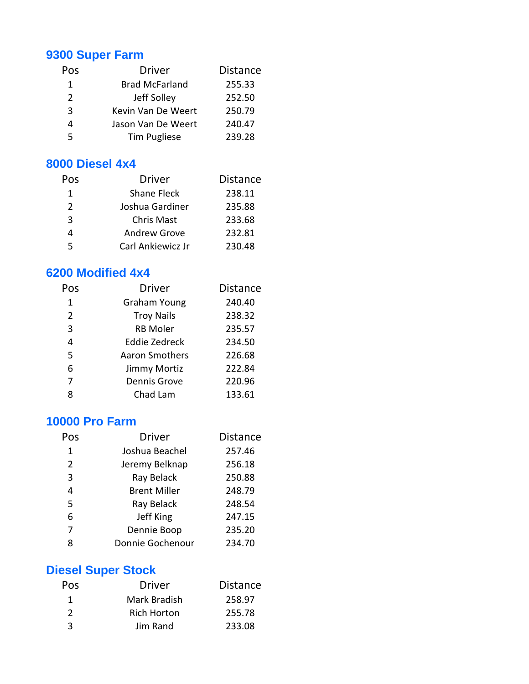#### **9300 Super Farm**

| Pos | <b>Driver</b>         | <b>Distance</b> |
|-----|-----------------------|-----------------|
| 1   | <b>Brad McFarland</b> | 255.33          |
| 2   | Jeff Solley           | 252.50          |
| 3   | Kevin Van De Weert    | 250.79          |
| 4   | Jason Van De Weert    | 240.47          |
| 5   | <b>Tim Pugliese</b>   | 239.28          |
|     |                       |                 |

#### **8000 Diesel 4x4**

| Pos           | <b>Driver</b>       | <b>Distance</b> |
|---------------|---------------------|-----------------|
| 1             | <b>Shane Fleck</b>  | 238.11          |
| $\mathcal{P}$ | Joshua Gardiner     | 235.88          |
| 3             | <b>Chris Mast</b>   | 233.68          |
| 4             | <b>Andrew Grove</b> | 232.81          |
| 5             | Carl Ankiewicz Jr   | 230.48          |

#### **6200 Modified 4x4**

| Pos | <b>Driver</b>       | <b>Distance</b> |
|-----|---------------------|-----------------|
| 1   | <b>Graham Young</b> | 240.40          |
| 2   | <b>Troy Nails</b>   | 238.32          |
| 3   | <b>RB Moler</b>     | 235.57          |
| 4   | Eddie Zedreck       | 234.50          |
| 5   | Aaron Smothers      | 226.68          |
| 6   | Jimmy Mortiz        | 222.84          |
| 7   | <b>Dennis Grove</b> | 220.96          |
| Ջ   | Chad Lam            | 133.61          |

#### **10000 Pro Farm**

| Pos | <b>Driver</b>       | <b>Distance</b> |
|-----|---------------------|-----------------|
| 1   | Joshua Beachel      | 257.46          |
| 2   | Jeremy Belknap      | 256.18          |
| 3   | Ray Belack          | 250.88          |
| 4   | <b>Brent Miller</b> | 248.79          |
| 5   | Ray Belack          | 248.54          |
| 6   | Jeff King           | 247.15          |
| 7   | Dennie Boop         | 235.20          |
| 8   | Donnie Gochenour    | 234.70          |

## **Diesel Super Stock**

| <b>Driver</b>      | <b>Distance</b> |
|--------------------|-----------------|
| Mark Bradish       | 258.97          |
| <b>Rich Horton</b> | 255.78          |
| Jim Rand           | 233.08          |
|                    |                 |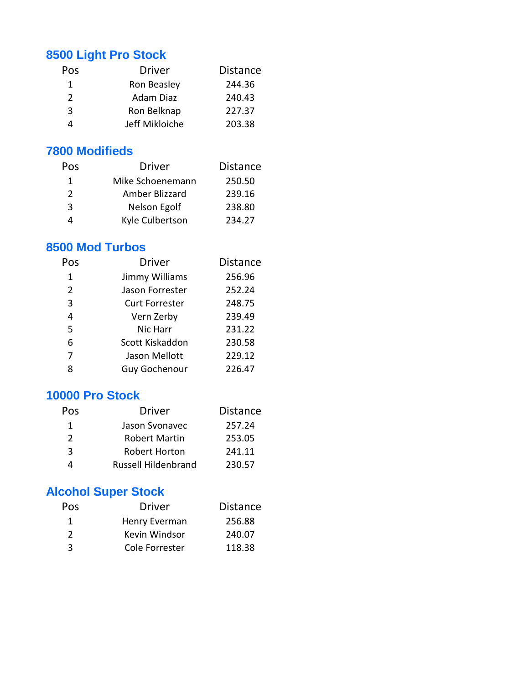#### **8500 Light Pro Stock**

| <b>Pos</b>    | <b>Driver</b>  | <b>Distance</b> |
|---------------|----------------|-----------------|
| 1.            | Ron Beasley    | 244.36          |
| $\mathcal{P}$ | Adam Diaz      | 240.43          |
| ર             | Ron Belknap    | 227.37          |
|               | Jeff Mikloiche | 203.38          |
|               |                |                 |

#### **7800 Modifieds**

| Pos           | <b>Driver</b>    | <b>Distance</b> |
|---------------|------------------|-----------------|
| 1             | Mike Schoenemann | 250.50          |
| $\mathcal{L}$ | Amber Blizzard   | 239.16          |
| -3            | Nelson Egolf     | 238.80          |
|               | Kyle Culbertson  | 234.27          |

#### **8500 Mod Turbos**

| Pos | <b>Driver</b>         | <b>Distance</b> |
|-----|-----------------------|-----------------|
| 1   | Jimmy Williams        | 256.96          |
| 2   | Jason Forrester       | 252.24          |
| 3   | <b>Curt Forrester</b> | 248.75          |
| 4   | Vern Zerby            | 239.49          |
| 5   | Nic Harr              | 231.22          |
| 6   | Scott Kiskaddon       | 230.58          |
|     | Jason Mellott         | 229.12          |
| Ջ   | <b>Guy Gochenour</b>  | 226.47          |
|     |                       |                 |

#### **10000 Pro Stock**

| Pos | <b>Driver</b>              | <b>Distance</b> |
|-----|----------------------------|-----------------|
| 1   | Jason Svonavec             | 257.24          |
| 2   | <b>Robert Martin</b>       | 253.05          |
| -3  | <b>Robert Horton</b>       | 241.11          |
|     | <b>Russell Hildenbrand</b> | 230.57          |

## **Alcohol Super Stock**

| Pos           | <b>Driver</b>  | <b>Distance</b> |
|---------------|----------------|-----------------|
| 1             | Henry Everman  | 256.88          |
| $\mathcal{L}$ | Kevin Windsor  | 240.07          |
| ર             | Cole Forrester | 118.38          |